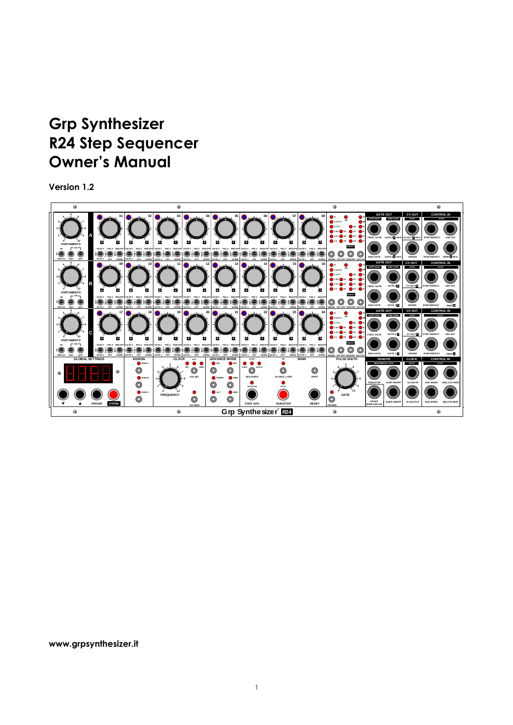# **Grp Synthesizer R24 Step Sequencer Owner's Manual**

**Version 1.2**



#### **www.grpsynthesizer.it**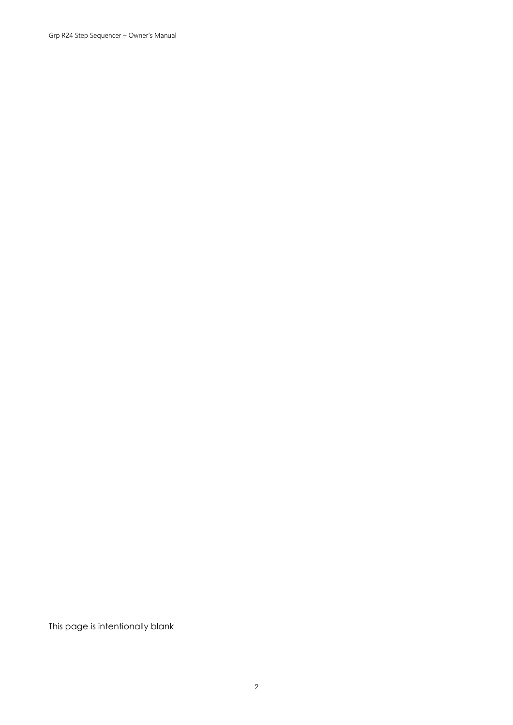Grp R24 Step Sequencer – Owner's Manual

This page is intentionally blank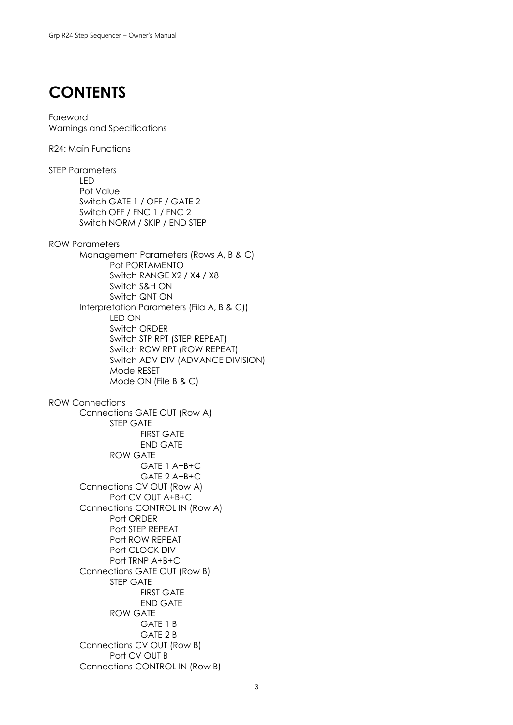# **CONTENTS**

Foreword Warnings and Specifications

R24: Main Functions

STEP Parameters LED Pot Value Switch GATE 1 / OFF / GATE 2 Switch OFF / FNC 1 / FNC 2 Switch NORM / SKIP / END STEP

ROW Parameters Management Parameters (Rows A, B & C) Pot PORTAMENTO Switch RANGE X2 / X4 / X8 Switch S&H ON Switch QNT ON Interpretation Parameters (Fila A, B & C)) LED ON Switch ORDER Switch STP RPT (STEP REPEAT) Switch ROW RPT (ROW REPEAT) Switch ADV DIV (ADVANCE DIVISION) Mode RESET Mode ON (File B & C)

ROW Connections Connections GATE OUT (Row A) STEP GATE FIRST GATE END GATE ROW GATE GATE 1 A+B+C GATE 2 A+B+C Connections CV OUT (Row A) Port CV OUT A+B+C Connections CONTROL IN (Row A) Port ORDER Port STEP REPEAT Port ROW REPEAT Port CLOCK DIV Port TRNP A+B+C Connections GATE OUT (Row B) STEP GATE FIRST GATE END GATE ROW GATE GATE 1 B GATE 2 B Connections CV OUT (Row B) Port CV OUT B Connections CONTROL IN (Row B)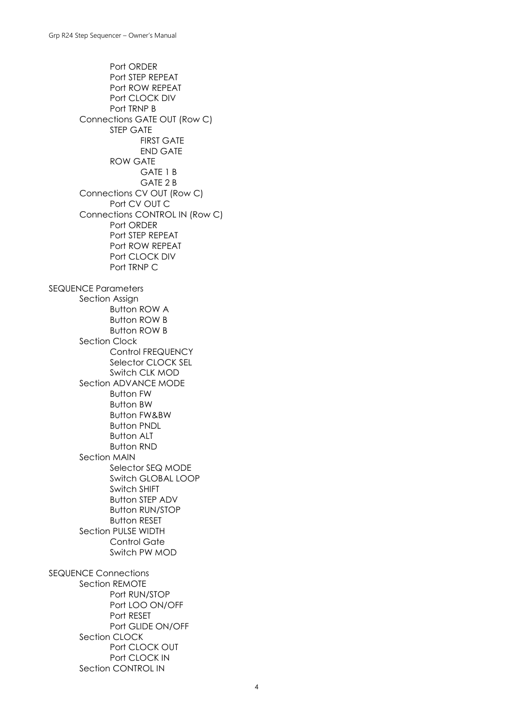Port ORDER Port STEP REPEAT Port ROW REPEAT Port CLOCK DIV Port TRNP B Connections GATE OUT (Row C) STEP GATE FIRST GATE END GATE ROW GATE GATE 1 B GATE 2 B Connections CV OUT (Row C) Port CV OUT C Connections CONTROL IN (Row C) Port ORDER Port STEP REPEAT Port ROW REPEAT Port CLOCK DIV Port TRNP C SEQUENCE Parameters Section Assign Button ROW A Button ROW B Button ROW B Section Clock Control FREQUENCY Selector CLOCK SEL Switch CLK MOD Section ADVANCE MODE Button FW Button BW Button FW&BW Button PNDL Button ALT Button RND Section MAIN Selector SEQ MODE Switch GLOBAL LOOP Switch SHIFT Button STEP ADV Button RUN/STOP Button RESET Section PULSE WIDTH Control Gate Switch PW MOD SEQUENCE Connections Section REMOTE Port RUN/STOP Port LOO ON/OFF Port RESET Port GLIDE ON/OFF Section CLOCK Port CLOCK OUT Port CLOCK IN Section CONTROL IN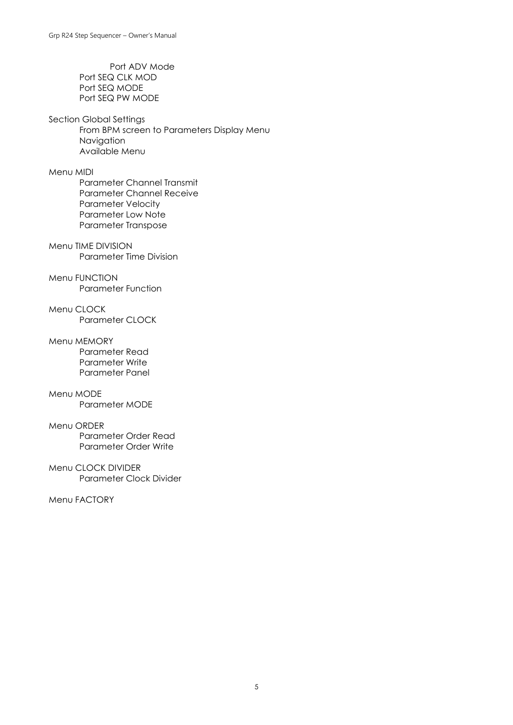Port ADV Mode Port SEQ CLK MOD Port SEQ MODE Port SEQ PW MODE

Section Global Settings From BPM screen to Parameters Display Menu Navigation Available Menu

#### Menu MIDI

Parameter Channel Transmit Parameter Channel Receive Parameter Velocity Parameter Low Note Parameter Transpose

Menu TIME DIVISION Parameter Time Division

#### Menu FUNCTION Parameter Function

Menu CLOCK Parameter CLOCK

# Menu MEMORY

Parameter Read Parameter Write Parameter Panel

### Menu MODE

Parameter MODE

#### Menu ORDER

Parameter Order Read Parameter Order Write

#### Menu CLOCK DIVIDER

Parameter Clock Divider

Menu FACTORY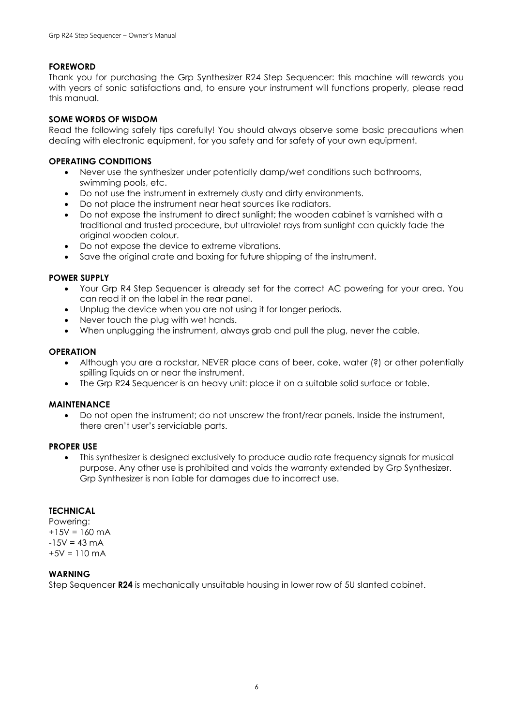### **FOREWORD**

Thank you for purchasing the Grp Synthesizer R24 Step Sequencer: this machine will rewards you with years of sonic satisfactions and, to ensure your instrument will functions properly, please read this manual.

### **SOME WORDS OF WISDOM**

Read the following safely tips carefully! You should always observe some basic precautions when dealing with electronic equipment, for you safety and for safety of your own equipment.

### **OPERATING CONDITIONS**

- Never use the synthesizer under potentially damp/wet conditions such bathrooms, swimming pools, etc.
- Do not use the instrument in extremely dusty and dirty environments.
- Do not place the instrument near heat sources like radiators.
- Do not expose the instrument to direct sunlight; the wooden cabinet is varnished with a traditional and trusted procedure, but ultraviolet rays from sunlight can quickly fade the original wooden colour.
- Do not expose the device to extreme vibrations.
- Save the original crate and boxing for future shipping of the instrument.

### **POWER SUPPLY**

- Your Grp R4 Step Sequencer is already set for the correct AC powering for your area. You can read it on the label in the rear panel.
- Unplug the device when you are not using it for longer periods.
- Never touch the plug with wet hands.
- When unplugging the instrument, always grab and pull the plug, never the cable.

#### **OPERATION**

- Although you are a rockstar, NEVER place cans of beer, coke, water (?) or other potentially spilling liquids on or near the instrument.
- The Grp R24 Sequencer is an heavy unit: place it on a suitable solid surface or table.

#### **MAINTENANCE**

 Do not open the instrument; do not unscrew the front/rear panels. Inside the instrument, there aren't user's serviciable parts.

#### **PROPER USE**

 This synthesizer is designed exclusively to produce audio rate frequency signals for musical purpose. Any other use is prohibited and voids the warranty extended by Grp Synthesizer. Grp Synthesizer is non liable for damages due to incorrect use.

# **TECHNICAL**

Powering:  $+15V = 160$  mA  $-15V = 43 \text{ mA}$  $+5V = 110$  mA

### **WARNING**

Step Sequencer **R24** is mechanically unsuitable housing in lower row of 5U slanted cabinet.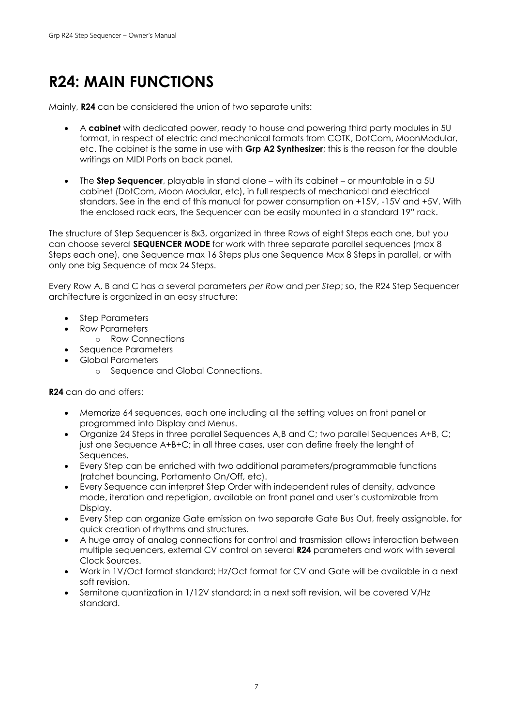# **R24: MAIN FUNCTIONS**

Mainly, **R24** can be considered the union of two separate units:

- A **cabinet** with dedicated power, ready to house and powering third party modules in 5U format, in respect of electric and mechanical formats from COTK, DotCom, MoonModular, etc. The cabinet is the same in use with **Grp A2 Synthesizer**; this is the reason for the double writings on MIDI Ports on back panel.
- The **Step Sequencer**, playable in stand alone with its cabinet or mountable in a 5U cabinet (DotCom, Moon Modular, etc), in full respects of mechanical and electrical standars. See in the end of this manual for power consumption on +15V, -15V and +5V. With the enclosed rack ears, the Sequencer can be easily mounted in a standard 19" rack.

The structure of Step Sequencer is 8x3, organized in three Rows of eight Steps each one, but you can choose several **SEQUENCER MODE** for work with three separate parallel sequences (max 8 Steps each one), one Sequence max 16 Steps plus one Sequence Max 8 Steps in parallel, or with only one big Sequence of max 24 Steps.

Every Row A, B and C has a several parameters *per Row* and *per Step*; so, the R24 Step Sequencer architecture is organized in an easy structure:

- Step Parameters
- Row Parameters
	- o Row Connections
- Sequence Parameters
- Global Parameters
	- o Sequence and Global Connections.

**R24** can do and offers:

- Memorize 64 sequences, each one including all the setting values on front panel or programmed into Display and Menus.
- Organize 24 Steps in three parallel Sequences A,B and C; two parallel Sequences A+B, C; just one Sequence A+B+C; in all three cases, user can define freely the lenght of Sequences.
- Every Step can be enriched with two additional parameters/programmable functions (ratchet bouncing, Portamento On/Off, etc).
- Every Sequence can interpret Step Order with independent rules of density, advance mode, iteration and repetigion, available on front panel and user's customizable from Display.
- Every Step can organize Gate emission on two separate Gate Bus Out, freely assignable, for quick creation of rhythms and structures.
- A huge array of analog connections for control and trasmission allows interaction between multiple sequencers, external CV control on several **R24** parameters and work with several Clock Sources.
- Work in 1V/Oct format standard; Hz/Oct format for CV and Gate will be available in a next soft revision.
- Semitone quantization in 1/12V standard; in a next soft revision, will be covered V/Hz standard.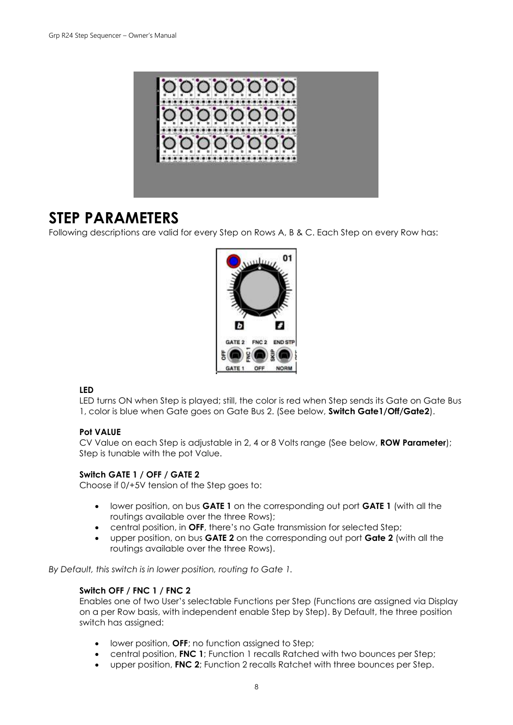

# **STEP PARAMETERS**

Following descriptions are valid for every Step on Rows A, B & C. Each Step on every Row has:



# **LED**

LED turns ON when Step is played; still, the color is red when Step sends its Gate on Gate Bus 1, color is blue when Gate goes on Gate Bus 2. (See below, **Switch Gate1/Off/Gate2**).

# **Pot VALUE**

CV Value on each Step is adjustable in 2, 4 or 8 Volts range (See below, **ROW Parameter**); Step is tunable with the pot Value.

# **Switch GATE 1 / OFF / GATE 2**

Choose if 0/+5V tension of the Step goes to:

- lower position, on bus **GATE 1** on the corresponding out port **GATE 1** (with all the routings available over the three Rows);
- central position, in **OFF**, there's no Gate transmission for selected Step;
- upper position, on bus **GATE 2** on the corresponding out port **Gate 2** (with all the routings available over the three Rows).

*By Default, this switch is in lower position, routing to Gate 1.*

# **Switch OFF / FNC 1 / FNC 2**

Enables one of two User's selectable Functions per Step (Functions are assigned via Display on a per Row basis, with independent enable Step by Step). By Default, the three position switch has assigned:

- lower position, **OFF**; no function assigned to Step;
- central position, **FNC 1**; Function 1 recalls Ratched with two bounces per Step;
- upper position, **FNC 2**; Function 2 recalls Ratchet with three bounces per Step.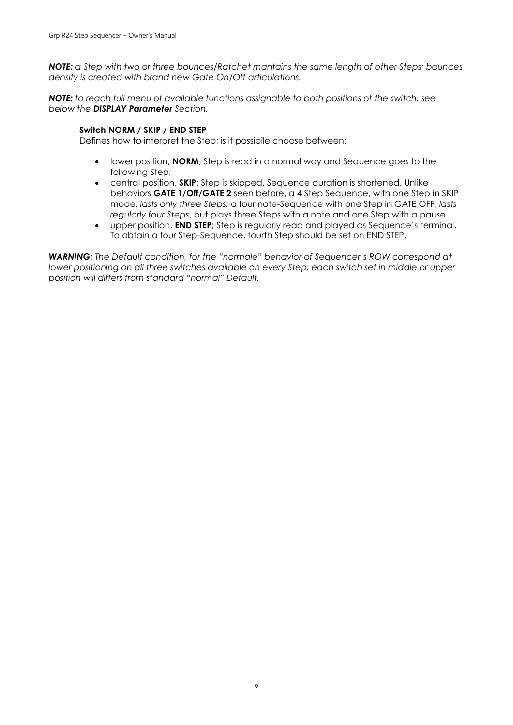*NOTE: a Step with two or three bounces/Ratchet mantains the same length of other Steps; bounces density is created with brand new Gate On/Off articulations.*

*NOTE: to reach full menu of available functions assignable to both positions of the switch, see below the DISPLAY Parameter Section.*

# **Switch NORM / SKIP / END STEP**

Defines how to interpret the Step; is it possibile choose between:

- lower position, **NORM**, Step is read in a normal way and Sequence goes to the following Step;
- central position, **SKIP**; Step is skipped, Sequence duration is shortened. Unlike behaviors **GATE 1/Off/GATE 2** seen before, a 4 Step Sequence, with one Step in SKIP mode, *lasts only three Steps;* a four note-Sequence with one Step in GATE OFF, *lasts regularly four Steps*, but plays three Steps with a note and one Step with a pause.
- upper position, **END STEP**; Step is regularly read and played as Sequence's terminal. To obtain a four Step-Sequence, fourth Step should be set on END STEP.

*WARNING: The Default condition, for the "normale" behavior of Sequencer's ROW correspond at lower positioning on all three switches available on every Step; each switch set in middle or upper position will differs from standard "normal" Default.*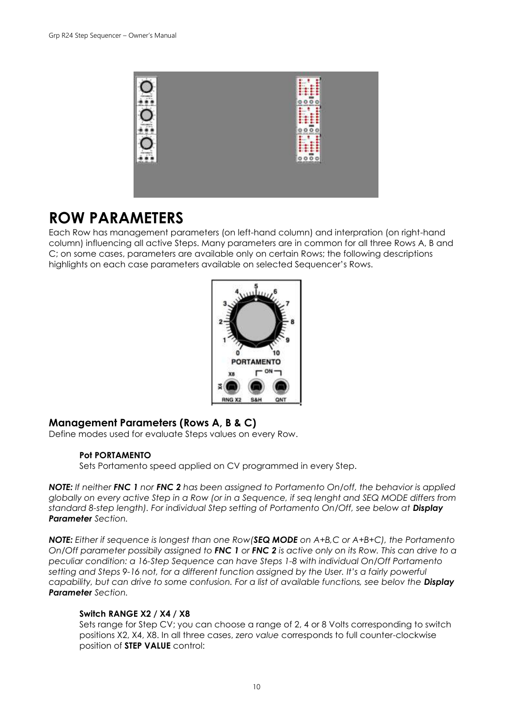

# **ROW PARAMETERS**

Each Row has management parameters (on left-hand column) and interpration (on right-hand column) influencing all active Steps. Many parameters are in common for all three Rows A, B and C; on some cases, parameters are available only on certain Rows; the following descriptions highlights on each case parameters available on selected Sequencer's Rows.



# **Management Parameters (Rows A, B & C)**

Define modes used for evaluate Steps values on every Row.

# **Pot PORTAMENTO**

Sets Portamento speed applied on CV programmed in every Step.

*NOTE: If neither FNC 1 nor FNC 2 has been assigned to Portamento On/off, the behavior is applied globally on every active Step in a Row (or in a Sequence, if seq lenght and SEQ MODE differs from standard 8-step length). For individual Step setting of Portamento On/Off, see below at Display Parameter Section.* 

*NOTE: Either if sequence is longest than one Row(SEQ MODE on A+B,C or A+B+C), the Portamento On/Off parameter possibily assigned to FNC 1 or FNC 2 is active only on its Row. This can drive to a peculiar condition: a 16-Step Sequence can have Steps 1-8 with individual On/Off Portamento setting and Steps 9-16 not, for a different function assigned by the User. It's a fairly powerful capability, but can drive to some confusion. For a list of available functions, see belov the Display Parameter Section.* 

# **Switch RANGE X2 / X4 / X8**

Sets range for Step CV; you can choose a range of 2, 4 or 8 Volts corresponding to switch positions X2, X4, X8. In all three cases, *zero value* corresponds to full counter-clockwise position of **STEP VALUE** control: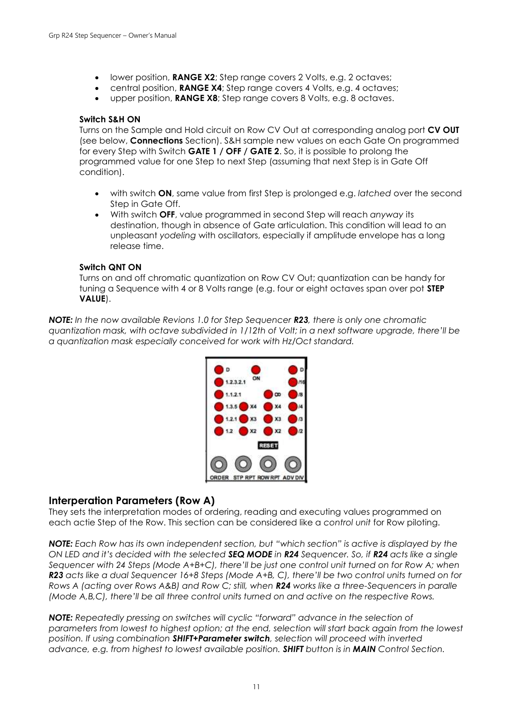- lower position, **RANGE X2**; Step range covers 2 Volts, e.g. 2 octaves;
- central position, **RANGE X4**; Step range covers 4 Volts, e.g. 4 octaves;
- upper position, **RANGE X8**; Step range covers 8 Volts, e.g. 8 octaves.

### **Switch S&H ON**

Turns on the Sample and Hold circuit on Row CV Out at corresponding analog port **CV OUT**  (see below, **Connections** Section). S&H sample new values on each Gate On programmed for every Step with Switch **GATE 1 / OFF / GATE 2**. So, it is possible to prolong the programmed value for one Step to next Step (assuming that next Step is in Gate Off condition).

- with switch **ON**, same value from first Step is prolonged e.g. *latched* over the second Step in Gate Off.
- With switch **OFF**, value programmed in second Step will reach *anyway* its destination, though in absence of Gate articulation. This condition will lead to an unpleasant *yodeling* with oscillators, especially if amplitude envelope has a long release time.

### **Switch QNT ON**

Turns on and off chromatic quantization on Row CV Out; quantization can be handy for tuning a Sequence with 4 or 8 Volts range (e.g. four or eight octaves span over pot **STEP VALUE**).

*NOTE: In the now available Revions 1.0 for Step Sequencer R23, there is only one chromatic quantization mask, with octave subdivided in 1/12th of Volt; in a next software upgrade, there'll be a quantization mask especially conceived for work with Hz/Oct standard.* 



# **Interperation Parameters (Row A)**

They sets the interpretation modes of ordering, reading and executing values programmed on each actie Step of the Row. This section can be considered like a *control unit* for Row piloting.

**NOTE:** Each Row has its own independent section, but *"which section"* is active is displayed by the *ON LED and it's decided with the selected SEQ MODE in R24 Sequencer. So, if R24 acts like a single Sequencer with 24 Steps (Mode A+B+C), there'll be just one control unit turned on for Row A; when R23 acts like a dual Sequencer 16+8 Steps (Mode A+B, C), there'll be two control units turned on for Rows A (acting over Rows A&B) and Row C; still, when R24 works like a three-Sequencers in paralle (Mode A,B,C), there'll be all three control units turned on and active on the respective Rows.* 

*NOTE: Repeatedly pressing on switches will cyclic "forward" advance in the selection of parameters from lowest to highest option; at the end, selection will start back again from the lowest position. If using combination SHIFT+Parameter switch, selection will proceed with inverted advance, e.g. from highest to lowest available position. SHIFT button is in MAIN Control Section.*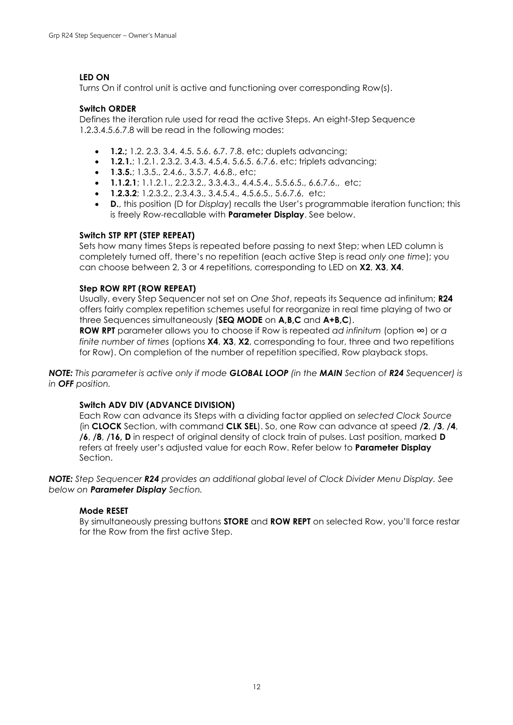# **LED ON**

Turns On if control unit is active and functioning over corresponding Row(s).

### **Switch ORDER**

Defines the iteration rule used for read the active Steps. An eight-Step Sequence 1.2.3.4.5.6.7.8 will be read in the following modes:

- **1.2.;** 1.2. 2.3. 3.4. 4.5. 5.6. 6.7. 7.8. etc; duplets advancing;
- **1.2.1.**; 1.2.1. 2.3.2. 3.4.3. 4.5.4. 5.6.5. 6.7.6. etc; triplets advancing;
- **1**.**3.5.**; 1.3.5., 2.4.6., 3.5.7, 4.6.8., etc;
- **1.1.2.1**; 1.1.2.1., 2.2.3.2., 3.3.4.3., 4.4.5.4., 5.5.6.5., 6.6.7.6., etc;
- **1**.**2.3.2**; 1.2.3.2., 2.3.4.3., 3.4.5.4., 4.5.6.5., 5.6.7.6, etc;
- **D.**, this position (D for *Display*) recalls the User's programmable iteration function; this is freely Row-recallable with **Parameter Display**. See below.

### **Switch STP RPT (STEP REPEAT)**

Sets how many times Steps is repeated before passing to next Step; when LED column is completely turned off, there's no repetition (each active Step is read *only one time*); you can choose between 2, 3 or 4 repetitions, corresponding to LED on **X2**, **X3**, **X4**.

### **Step ROW RPT (ROW REPEAT)**

Usually, every Step Sequencer not set on *One Shot*, repeats its Sequence ad infinitum; **R24** offers fairly complex repetition schemes useful for reorganize in real time playing of two or three Sequences simultaneously (**SEQ MODE** on **A,B,C** and **A+B,C**).

**ROW RPT** parameter allows you to choose if Row is repeated *ad infinitum* (option ∞) or *a finite number of times* (options **X4**, **X3**, **X2**, corresponding to four, three and two repetitions for Row). On completion of the number of repetition specified, Row playback stops.

*NOTE: This parameter is active only if mode GLOBAL LOOP (in the MAIN Section of R24 Sequencer) is in OFF position.* 

# **Switch ADV DIV (ADVANCE DIVISION)**

Each Row can advance its Steps with a dividing factor applied on *selected Clock Source*  (in **CLOCK** Section, with command **CLK SEL**). So, one Row can advance at speed **/2**, **/3**, **/4**, **/6**, **/8**, **/16, D** in respect of original density of clock train of pulses. Last position, marked **D** refers at freely user's adjusted value for each Row. Refer below to **Parameter Display**  Section.

*NOTE: Step Sequencer R24 provides an additional global level of Clock Divider Menu Display. See below on Parameter Display Section.* 

#### **Mode RESET**

By simultaneously pressing buttons **STORE** and **ROW REPT** on selected Row, you'll force restar for the Row from the first active Step.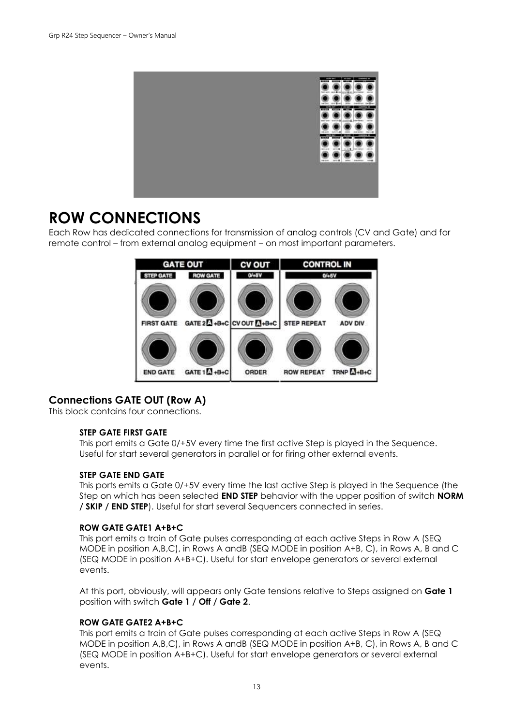

# **ROW CONNECTIONS**

Each Row has dedicated connections for transmission of analog controls (CV and Gate) and for remote control – from external analog equipment – on most important parameters.



# **Connections GATE OUT (Row A)**

This block contains four connections.

# **STEP GATE FIRST GATE**

This port emits a Gate 0/+5V every time the first active Step is played in the Sequence. Useful for start several generators in parallel or for firing other external events.

#### **STEP GATE END GATE**

This ports emits a Gate 0/+5V every time the last active Step is played in the Sequence (the Step on which has been selected **END STEP** behavior with the upper position of switch **NORM / SKIP / END STEP**). Useful for start several Sequencers connected in series.

#### **ROW GATE GATE1 A+B+C**

This port emits a train of Gate pulses corresponding at each active Steps in Row A (SEQ MODE in position A,B,C), in Rows A andB (SEQ MODE in position A+B, C), in Rows A, B and C (SEQ MODE in position A+B+C). Useful for start envelope generators or several external events.

At this port, obviously, will appears only Gate tensions relative to Steps assigned on **Gate 1** position with switch **Gate 1 / Off / Gate 2**.

# **ROW GATE GATE2 A+B+C**

This port emits a train of Gate pulses corresponding at each active Steps in Row A (SEQ MODE in position A,B,C), in Rows A andB (SEQ MODE in position A+B, C), in Rows A, B and C (SEQ MODE in position A+B+C). Useful for start envelope generators or several external events.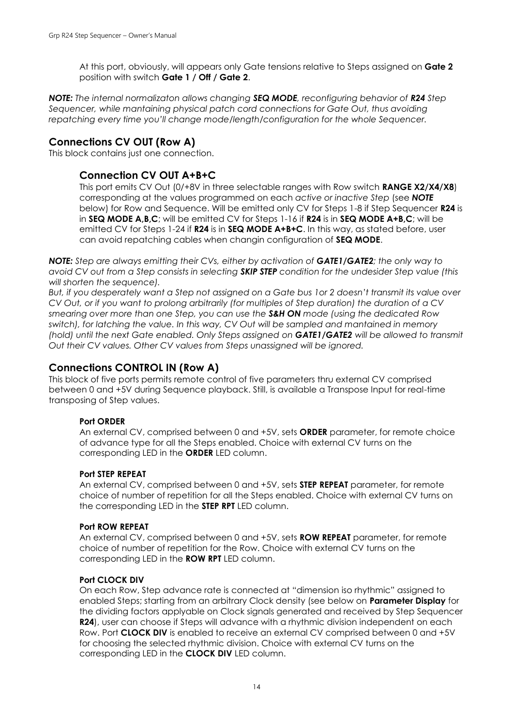At this port, obviously, will appears only Gate tensions relative to Steps assigned on **Gate 2** position with switch **Gate 1 / Off / Gate 2**.

*NOTE: The internal normalizaton allows changing SEQ MODE, reconfiguring behavior of R24 Step Sequencer, while mantaining physical patch cord connections for Gate Out, thus avoiding repatching every time you'll change mode/length/configuration for the whole Sequencer.* 

# **Connections CV OUT (Row A)**

This block contains just one connection.

# **Connection CV OUT A+B+C**

This port emits CV Out (0/+8V in three selectable ranges with Row switch **RANGE X2/X4/X8**) corresponding at the values programmed on each *active or inactive Step* (see *NOTE* below) for Row and Sequence. Will be emitted only CV for Steps 1-8 if Step Sequencer **R24** is in **SEQ MODE A,B,C**; will be emitted CV for Steps 1-16 if **R24** is in **SEQ MODE A+B,C**; will be emitted CV for Steps 1-24 if **R24** is in **SEQ MODE A+B+C**. In this way, as stated before, user can avoid repatching cables when changin configuration of **SEQ MODE**.

**NOTE:** *Step are always emitting their CVs, either by activation of GATE1/GATE2; the only way to avoid CV out from a Step consists in selecting SKIP STEP condition for the undesider Step value (this will shorten the sequence).* 

*But, if you desperately want a Step not assigned on a Gate bus 1or 2 doesn't transmit its value over CV Out, or if you want to prolong arbitrarily (for multiples of Step duration) the duration of a CV smearing over more than one Step, you can use the S&H ON mode (using the dedicated Row switch), for latching the value. In this way, CV Out will be sampled and mantained in memory (hold) until the next Gate enabled. Only Steps assigned on GATE1/GATE2 will be allowed to transmit Out their CV values. Other CV values from Steps unassigned will be ignored.* 

# **Connections CONTROL IN (Row A)**

This block of five ports permits remote control of five parameters thru external CV comprised between 0 and +5V during Sequence playback. Still, is available a Transpose Input for real-time transposing of Step values.

# **Port ORDER**

An external CV, comprised between 0 and +5V, sets **ORDER** parameter, for remote choice of advance type for all the Steps enabled. Choice with external CV turns on the corresponding LED in the **ORDER** LED column.

# **Port STEP REPEAT**

An external CV, comprised between 0 and +5V, sets **STEP REPEAT** parameter, for remote choice of number of repetition for all the Steps enabled. Choice with external CV turns on the corresponding LED in the **STEP RPT** LED column.

#### **Port ROW REPEAT**

An external CV, comprised between 0 and +5V, sets **ROW REPEAT** parameter, for remote choice of number of repetition for the Row. Choice with external CV turns on the corresponding LED in the **ROW RPT** LED column.

#### **Port CLOCK DIV**

On each Row, Step advance rate is connected at "dimension iso rhythmic" assigned to enabled Steps; starting from an arbitrary Clock density (see below on **Parameter Display** for the dividing factors applyable on Clock signals generated and received by Step Sequencer **R24**), user can choose if Steps will advance with a rhythmic division independent on each Row. Port **CLOCK DIV** is enabled to receive an external CV comprised between 0 and +5V for choosing the selected rhythmic division. Choice with external CV turns on the corresponding LED in the **CLOCK DIV** LED column.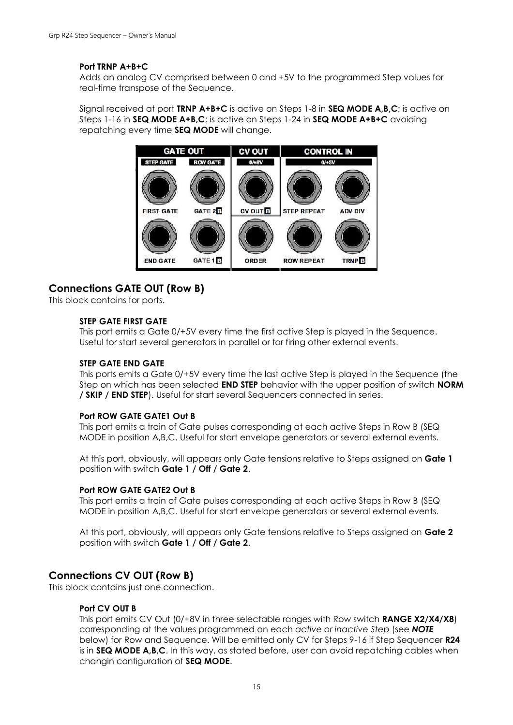### **Port TRNP A+B+C**

Adds an analog CV comprised between 0 and +5V to the programmed Step values for real-time transpose of the Sequence.

Signal received at port **TRNP A+B+C** is active on Steps 1-8 in **SEQ MODE A,B,C**; is active on Steps 1-16 in **SEQ MODE A+B,C**; is active on Steps 1-24 in **SEQ MODE A+B+C** avoiding repatching every time **SEQ MODE** will change.



# **Connections GATE OUT (Row B)**

This block contains for ports.

#### **STEP GATE FIRST GATE**

This port emits a Gate 0/+5V every time the first active Step is played in the Sequence. Useful for start several generators in parallel or for firing other external events.

#### **STEP GATE END GATE**

This ports emits a Gate 0/+5V every time the last active Step is played in the Sequence (the Step on which has been selected **END STEP** behavior with the upper position of switch **NORM / SKIP / END STEP**). Useful for start several Sequencers connected in series.

#### **Port ROW GATE GATE1 Out B**

This port emits a train of Gate pulses corresponding at each active Steps in Row B (SEQ MODE in position A,B,C. Useful for start envelope generators or several external events.

At this port, obviously, will appears only Gate tensions relative to Steps assigned on **Gate 1** position with switch **Gate 1 / Off / Gate 2**.

#### **Port ROW GATE GATE2 Out B**

This port emits a train of Gate pulses corresponding at each active Steps in Row B (SEQ MODE in position A,B,C. Useful for start envelope generators or several external events.

At this port, obviously, will appears only Gate tensions relative to Steps assigned on **Gate 2** position with switch **Gate 1 / Off / Gate 2**.

# **Connections CV OUT (Row B)**

This block contains just one connection.

#### **Port CV OUT B**

This port emits CV Out (0/+8V in three selectable ranges with Row switch **RANGE X2/X4/X8**) corresponding at the values programmed on each *active or inactive Step* (see *NOTE* below) for Row and Sequence. Will be emitted only CV for Steps 9-16 if Step Sequencer **R24** is in **SEQ MODE A,B,C**. In this way, as stated before, user can avoid repatching cables when changin configuration of **SEQ MODE**.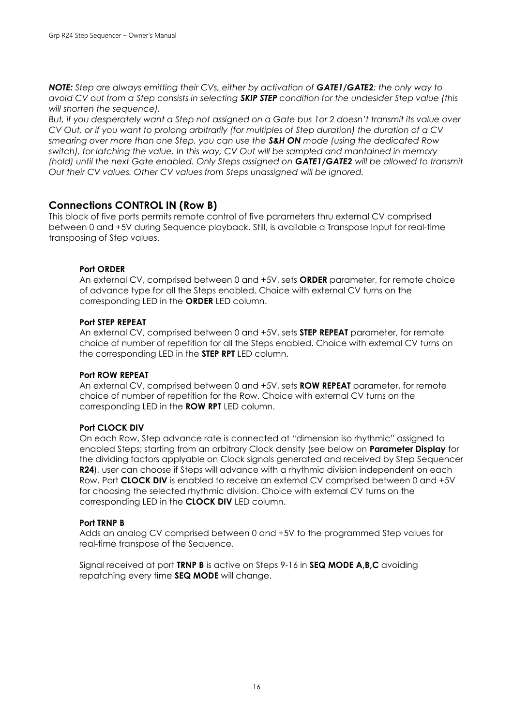*NOTE: Step are always emitting their CVs, either by activation of GATE1/GATE2; the only way to avoid CV out from a Step consists in selecting SKIP STEP condition for the undesider Step value (this will shorten the sequence).* 

*But, if you desperately want a Step not assigned on a Gate bus 1or 2 doesn't transmit its value over CV Out, or if you want to prolong arbitrarily (for multiples of Step duration) the duration of a CV smearing over more than one Step, you can use the S&H ON mode (using the dedicated Row switch), for latching the value. In this way, CV Out will be sampled and mantained in memory (hold) until the next Gate enabled. Only Steps assigned on GATE1/GATE2 will be allowed to transmit Out their CV values. Other CV values from Steps unassigned will be ignored.* 

# **Connections CONTROL IN (Row B)**

This block of five ports permits remote control of five parameters thru external CV comprised between 0 and +5V during Sequence playback. Still, is available a Transpose Input for real-time transposing of Step values.

#### **Port ORDER**

An external CV, comprised between 0 and +5V, sets **ORDER** parameter, for remote choice of advance type for all the Steps enabled. Choice with external CV turns on the corresponding LED in the **ORDER** LED column.

#### **Port STEP REPEAT**

An external CV, comprised between 0 and +5V, sets **STEP REPEAT** parameter, for remote choice of number of repetition for all the Steps enabled. Choice with external CV turns on the corresponding LED in the **STEP RPT** LED column.

#### **Port ROW REPEAT**

An external CV, comprised between 0 and +5V, sets **ROW REPEAT** parameter, for remote choice of number of repetition for the Row. Choice with external CV turns on the corresponding LED in the **ROW RPT** LED column.

#### **Port CLOCK DIV**

On each Row, Step advance rate is connected at "dimension iso rhythmic" assigned to enabled Steps; starting from an arbitrary Clock density (see below on **Parameter Display** for the dividing factors applyable on Clock signals generated and received by Step Sequencer **R24**), user can choose if Steps will advance with a rhythmic division independent on each Row. Port **CLOCK DIV** is enabled to receive an external CV comprised between 0 and +5V for choosing the selected rhythmic division. Choice with external CV turns on the corresponding LED in the **CLOCK DIV** LED column.

#### **Port TRNP B**

Adds an analog CV comprised between 0 and +5V to the programmed Step values for real-time transpose of the Sequence.

Signal received at port **TRNP B** is active on Steps 9-16 in **SEQ MODE A,B,C** avoiding repatching every time **SEQ MODE** will change.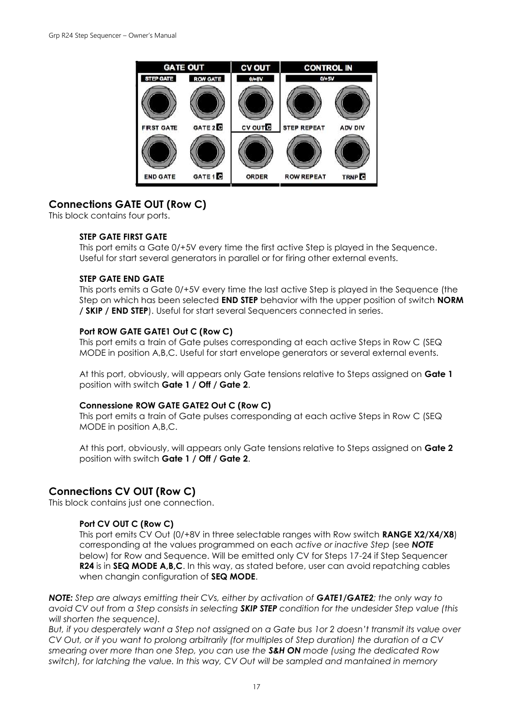

# **Connections GATE OUT (Row C)**

This block contains four ports.

# **STEP GATE FIRST GATE**

This port emits a Gate 0/+5V every time the first active Step is played in the Sequence. Useful for start several generators in parallel or for firing other external events.

# **STEP GATE END GATE**

This ports emits a Gate 0/+5V every time the last active Step is played in the Sequence (the Step on which has been selected **END STEP** behavior with the upper position of switch **NORM / SKIP / END STEP**). Useful for start several Sequencers connected in series.

# **Port ROW GATE GATE1 Out C (Row C)**

This port emits a train of Gate pulses corresponding at each active Steps in Row C (SEQ MODE in position A,B,C. Useful for start envelope generators or several external events.

At this port, obviously, will appears only Gate tensions relative to Steps assigned on **Gate 1** position with switch **Gate 1 / Off / Gate 2**.

# **Connessione ROW GATE GATE2 Out C (Row C)**

This port emits a train of Gate pulses corresponding at each active Steps in Row C (SEQ MODE in position A,B,C.

At this port, obviously, will appears only Gate tensions relative to Steps assigned on **Gate 2** position with switch **Gate 1 / Off / Gate 2**.

# **Connections CV OUT (Row C)**

This block contains just one connection.

# **Port CV OUT C (Row C)**

This port emits CV Out (0/+8V in three selectable ranges with Row switch **RANGE X2/X4/X8**) corresponding at the values programmed on each *active or inactive Step* (see *NOTE* below) for Row and Sequence. Will be emitted only CV for Steps 17-24 if Step Sequencer **R24** is in **SEQ MODE A,B,C**. In this way, as stated before, user can avoid repatching cables when changin configuration of **SEQ MODE**.

*NOTE: Step are always emitting their CVs, either by activation of GATE1/GATE2; the only way to avoid CV out from a Step consists in selecting SKIP STEP condition for the undesider Step value (this will shorten the sequence).* 

*But, if you desperately want a Step not assigned on a Gate bus 1or 2 doesn't transmit its value over CV Out, or if you want to prolong arbitrarily (for multiples of Step duration) the duration of a CV smearing over more than one Step, you can use the S&H ON mode (using the dedicated Row switch), for latching the value. In this way, CV Out will be sampled and mantained in memory*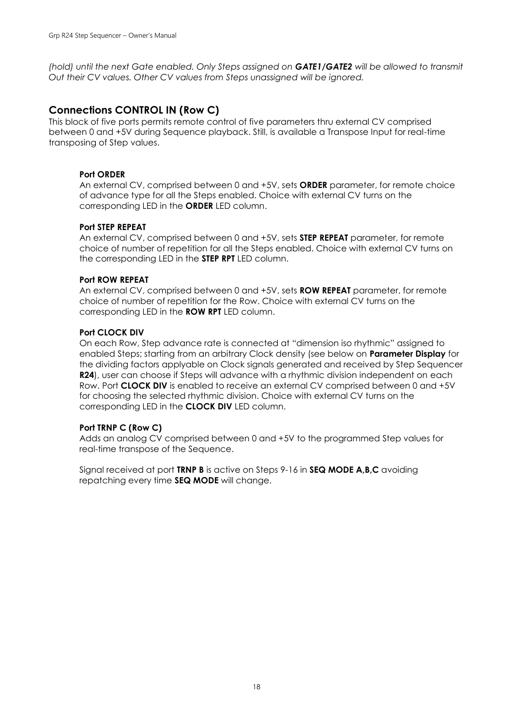*(hold) until the next Gate enabled. Only Steps assigned on GATE1/GATE2 will be allowed to transmit Out their CV values. Other CV values from Steps unassigned will be ignored.*

# **Connections CONTROL IN (Row C)**

This block of five ports permits remote control of five parameters thru external CV comprised between 0 and +5V during Sequence playback. Still, is available a Transpose Input for real-time transposing of Step values.

### **Port ORDER**

An external CV, comprised between 0 and +5V, sets **ORDER** parameter, for remote choice of advance type for all the Steps enabled. Choice with external CV turns on the corresponding LED in the **ORDER** LED column.

#### **Port STEP REPEAT**

An external CV, comprised between 0 and +5V, sets **STEP REPEAT** parameter, for remote choice of number of repetition for all the Steps enabled. Choice with external CV turns on the corresponding LED in the **STEP RPT** LED column.

### **Port ROW REPEAT**

An external CV, comprised between 0 and +5V, sets **ROW REPEAT** parameter, for remote choice of number of repetition for the Row. Choice with external CV turns on the corresponding LED in the **ROW RPT** LED column.

#### **Port CLOCK DIV**

On each Row, Step advance rate is connected at "dimension iso rhythmic" assigned to enabled Steps; starting from an arbitrary Clock density (see below on **Parameter Display** for the dividing factors applyable on Clock signals generated and received by Step Sequencer **R24**), user can choose if Steps will advance with a rhythmic division independent on each Row. Port **CLOCK DIV** is enabled to receive an external CV comprised between 0 and +5V for choosing the selected rhythmic division. Choice with external CV turns on the corresponding LED in the **CLOCK DIV** LED column.

#### **Port TRNP C (Row C)**

Adds an analog CV comprised between 0 and +5V to the programmed Step values for real-time transpose of the Sequence.

Signal received at port **TRNP B** is active on Steps 9-16 in **SEQ MODE A,B,C** avoiding repatching every time **SEQ MODE** will change.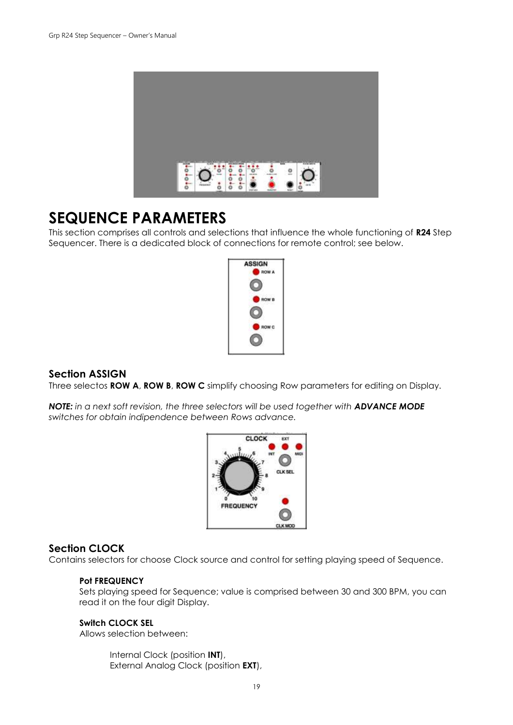

# **SEQUENCE PARAMETERS**

This section comprises all controls and selections that influence the whole functioning of **R24** Step Sequencer. There is a dedicated block of connections for remote control; see below.

| <b>ASSIGN</b> |
|---------------|
| <b>ROWA</b>   |
|               |
| VΒ            |
|               |
| WC.           |
|               |

# **Section ASSIGN**

Three selectos **ROW A**, **ROW B**, **ROW C** simplify choosing Row parameters for editing on Display.

*NOTE: in a next soft revision, the three selectors will be used together with ADVANCE MODE switches for obtain indipendence between Rows advance.* 



# **Section CLOCK**

Contains selectors for choose Clock source and control for setting playing speed of Sequence.

#### **Pot FREQUENCY**

Sets playing speed for Sequence; value is comprised between 30 and 300 BPM, you can read it on the four digit Display.

#### **Switch CLOCK SEL**

Allows selection between:

Internal Clock (position **INT**), External Analog Clock (position **EXT**),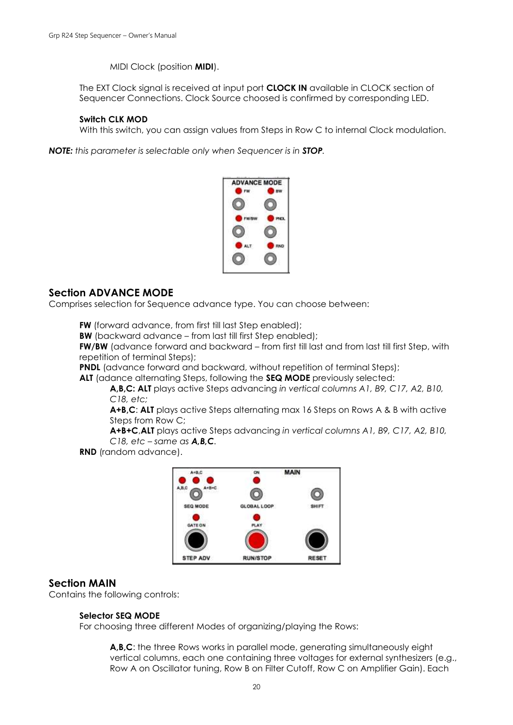MIDI Clock (position **MIDI**).

The EXT Clock signal is received at input port **CLOCK IN** available in CLOCK section of Sequencer Connections. Clock Source choosed is confirmed by corresponding LED.

#### **Switch CLK MOD**

With this switch, you can assign values from Steps in Row C to internal Clock modulation.

*NOTE: this parameter is selectable only when Sequencer is in STOP.* 



# **Section ADVANCE MODE**

Comprises selection for Sequence advance type. You can choose between:

**FW** (forward advance, from first till last Step enabled);

**BW** (backward advance – from last till first Step enabled);

**FW/BW** (advance forward and backward – from first till last and from last till first Step, with repetition of terminal Steps);

**PNDL** (advance forward and backward, without repetition of terminal Steps);

**ALT** (adance alternating Steps, following the **SEQ MODE** previously selected:

**A,B,C: ALT** plays active Steps advancing *in vertical columns A1, B9, C17, A2, B10, C18, etc;*

**A+B,C**: **ALT** plays active Steps alternating max 16 Steps on Rows A & B with active Steps from Row C;

**A+B+C**,**ALT** plays active Steps advancing *in vertical columns A1, B9, C17, A2, B10, C18, etc – same as A,B,C.*

**RND** (random advance).



# **Section MAIN**

Contains the following controls:

#### **Selector SEQ MODE**

For choosing three different Modes of organizing/playing the Rows:

**A,B,C**: the three Rows works in parallel mode, generating simultaneously eight vertical columns, each one containing three voltages for external synthesizers (e.g., Row A on Oscillator tuning, Row B on Filter Cutoff, Row C on Amplifier Gain). Each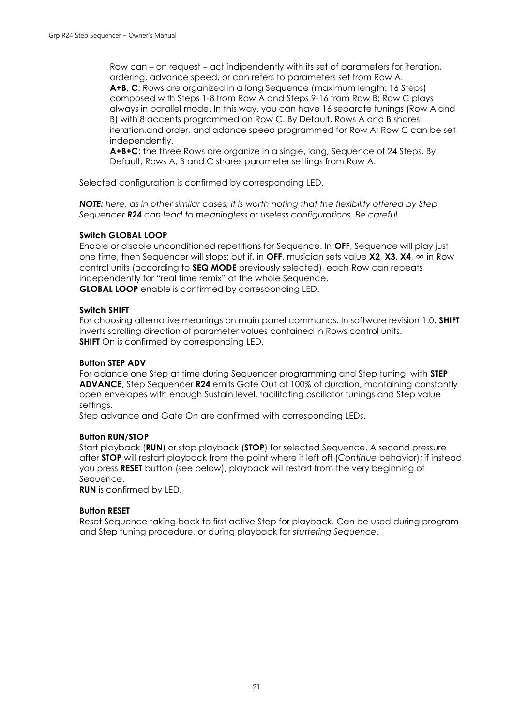Row can – on request – act indipendently with its set of parameters for iteration, ordering, advance speed, or can refers to parameters set from Row A. **A+B, C**: Rows are organized in a long Sequence (maximum length: 16 Steps) composed with Steps 1-8 from Row A and Steps 9-16 from Row B; Row C plays always in parallel mode. In this way, you can have 16 separate tunings (Row A and B) with 8 accents programmed on Row C. By Default, Rows A and B shares iteration,and order, and adance speed programmed for Row A; Row C can be set independently.

**A+B+C**: the three Rows are organize in a single, long, Sequence of 24 Steps. By Default, Rows A, B and C shares parameter settings from Row A.

Selected configuration is confirmed by corresponding LED.

*NOTE: here, as in other similar cases, it is worth noting that the flexibility offered by Step Sequencer R24 can lead to meaningless or useless configurations. Be careful.*

#### **Switch GLOBAL LOOP**

Enable or disable unconditioned repetitions for Sequence. In **OFF**, Sequence will play just one time, then Sequencer will stops; but if, in **OFF**, musician sets value **X2**, **X3**, **X4**, ∞ in Row control units (according to **SEQ MODE** previously selected), each Row can repeats independently for "real time remix" of the whole Sequence. **GLOBAL LOOP** enable is confirmed by corresponding LED.

#### **Switch SHIFT**

For choosing alternative meanings on main panel commands. In software revision 1.0, **SHIFT** inverts scrolling direction of parameter values contained in Rows control units. **SHIFT** On is confirmed by corresponding LED.

#### **Button STEP ADV**

For adance one Step at time during Sequencer programming and Step tuning; with **STEP ADVANCE**, Step Sequencer **R24** emits Gate Out at 100% of duration, mantaining constantly open envelopes with enough Sustain level, facilitating oscillator tunings and Step value settings.

Step advance and Gate On are confirmed with corresponding LEDs.

#### **Button RUN/STOP**

Start playback (**RUN**) or stop playback (**STOP**) for selected Sequence. A second pressure after **STOP** will restart playback from the point where it left off (*Continue* behavior); if instead you press **RESET** button (see below), playback will restart from the very beginning of Sequence.

**RUN** is confirmed by LED.

#### **Button RESET**

Reset Sequence taking back to first active Step for playback. Can be used during program and Step tuning procedure, or during playback for *stuttering Sequence*.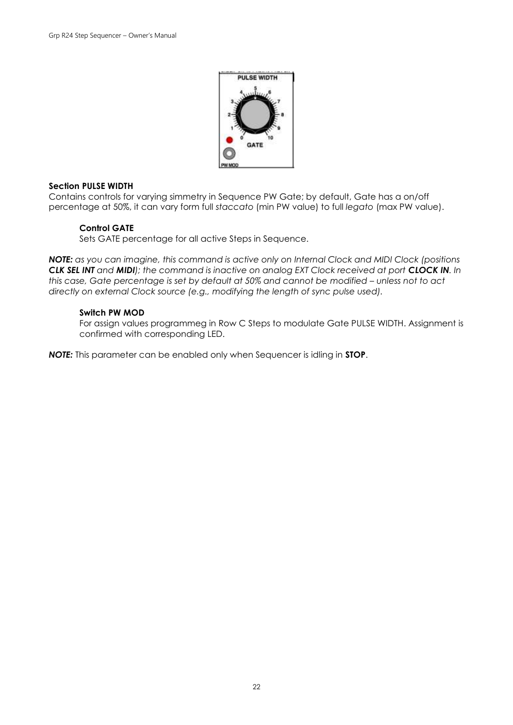

#### **Section PULSE WIDTH**

Contains controls for varying simmetry in Sequence PW Gate; by default, Gate has a on/off percentage at 50%, it can vary form full *staccato* (min PW value) to full *legato* (max PW value).

#### **Control GATE**

Sets GATE percentage for all active Steps in Sequence.

*NOTE: as you can imagine, this command is active only on Internal Clock and MIDI Clock (positions CLK SEL INT and MIDI); the command is inactive on analog EXT Clock received at port CLOCK IN. In this case, Gate percentage is set by default at 50% and cannot be modified – unless not to act directly on external Clock source (e.g., modifying the length of sync pulse used).*

#### **Switch PW MOD**

For assign values programmeg in Row C Steps to modulate Gate PULSE WIDTH. Assignment is confirmed with corresponding LED.

*NOTE:* This parameter can be enabled only when Sequencer is idling in **STOP**.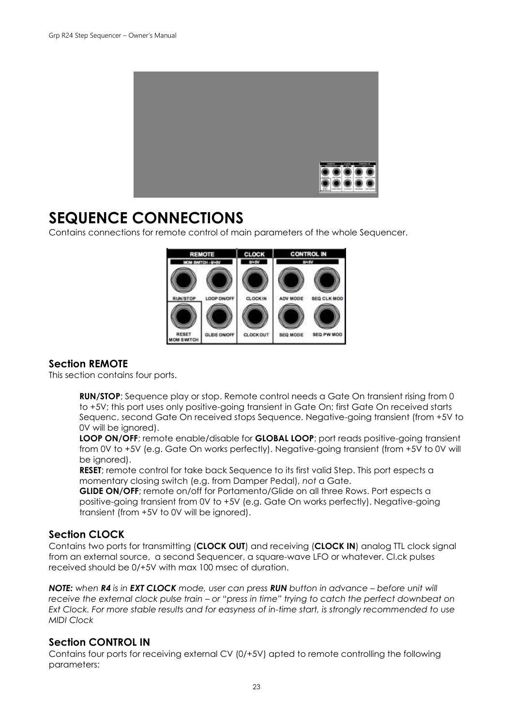

# **SEQUENCE CONNECTIONS**

Contains connections for remote control of main parameters of the whole Sequencer.



# **Section REMOTE**

This section contains four ports.

**RUN/STOP**; Sequence play or stop. Remote control needs a Gate On transient rising from 0 to +5V; this port uses only positive-going transient in Gate On; first Gate On received starts Sequenc, second Gate On received stops Sequence. Negative-going transient (from +5V to 0V will be ignored).

**LOOP ON/OFF**; remote enable/disable for **GLOBAL LOOP**; port reads positive-going transient from 0V to +5V (e.g. Gate On works perfectly). Negative-going transient (from +5V to 0V will be ignored).

**RESET**; remote control for take back Sequence to its first valid Step. This port espects a momentary closing switch (e.g. from Damper Pedal), *not* a Gate.

**GLIDE ON/OFF**; remote on/off for Portamento/Glide on all three Rows. Port espects a positive-going transient from 0V to +5V (e.g. Gate On works perfectly). Negative-going transient (from +5V to 0V will be ignored).

# **Section CLOCK**

Contains two ports for transmitting (**CLOCK OUT**) and receiving (**CLOCK IN**) analog TTL clock signal from an external source, a second Sequencer, a square-wave LFO or whatever. Cl.ck pulses received should be 0/+5V with max 100 msec of duration.

*NOTE: when R4 is in EXT CLOCK mode, user can press RUN button in advance - before unit will receive the external clock pulse train – or "press in time" trying to catch the perfect downbeat on Ext Clock. For more stable results and for easyness of in-time start, is strongly recommended to use MIDI Clock* 

# **Section CONTROL IN**

Contains four ports for receiving external CV (0/+5V) apted to remote controlling the following parameters: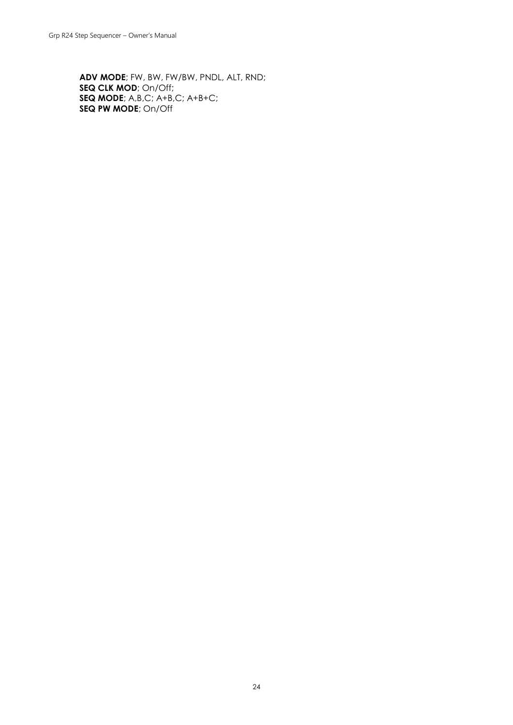**ADV MODE**; FW, BW, FW/BW, PNDL, ALT, RND; **SEQ CLK MOD**; On/Off; **SEQ MODE**; A,B,C; A+B,C; A+B+C; **SEQ PW MODE**; On/Off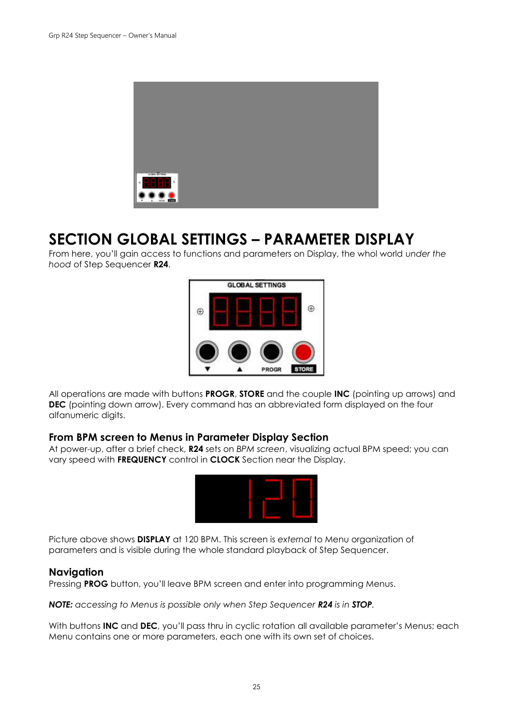

# **SECTION GLOBAL SETTINGS – PARAMETER DISPLAY**

From here, you'll gain access to functions and parameters on Display, the whol world *under the hood* of Step Sequencer **R24**.



All operations are made with buttons **PROGR**, **STORE** and the couple **INC** (pointing up arrows) and **DEC** (pointing down arrow). Every command has an abbreviated form displayed on the four alfanumeric digits.

# **From BPM screen to Menus in Parameter Display Section**

At power-up, after a brief check, **R24** sets on *BPM screen*, visualizing actual BPM speed; you can vary speed with **FREQUENCY** control in **CLOCK** Section near the Display.



Picture above shows **DISPLAY** at 120 BPM. This screen is *external* to Menu organization of parameters and is visible during the whole standard playback of Step Sequencer.

#### **Navigation**

Pressing PROG button, you'll leave BPM screen and enter into programming Menus.

*NOTE: accessing to Menus is possible only when Step Sequencer R24 is in STOP.* 

With buttons **INC** and **DEC**, you'll pass thru in cyclic rotation all available parameter's Menus; each Menu contains one or more parameters, each one with its own set of choices.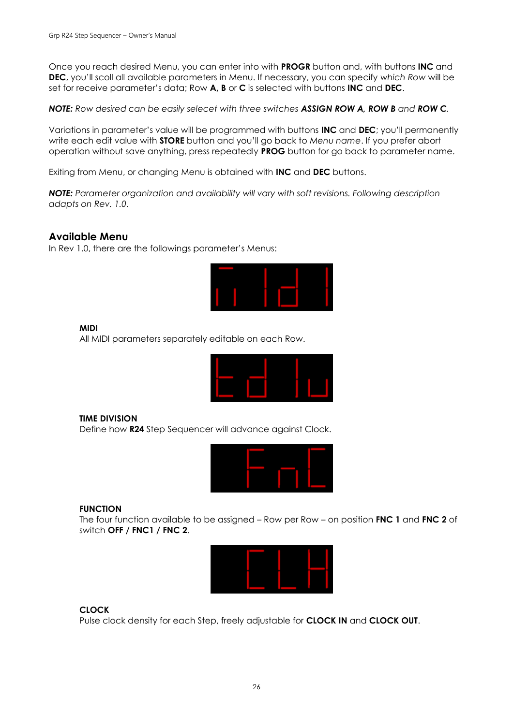Once you reach desired Menu, you can enter into with **PROGR** button and, with buttons **INC** and **DEC**, you'll scoll all available parameters in Menu. If necessary, you can specify *which Row* will be set for receive parameter's data; Row **A, B** or **C** is selected with buttons **INC** and **DEC**.

*NOTE: Row desired can be easily selecet with three switches ASSIGN ROW A, ROW B and ROW C.*

Variations in parameter's value will be programmed with buttons **INC** and **DEC**; you'll permanently write each edit value with **STORE** button and you'll go back to *Menu name*. If you prefer abort operation without save anything, press repeatedly **PROG** button for go back to parameter name.

Exiting from Menu, or changing Menu is obtained with **INC** and **DEC** buttons.

*NOTE: Parameter organization and availability will vary with soft revisions. Following description adapts on Rev. 1.0.*

# **Available Menu**

In Rev 1.0, there are the followings parameter's Menus:



**MIDI**

All MIDI parameters separately editable on each Row.



**TIME DIVISION**

Define how **R24** Step Sequencer will advance against Clock.



# **FUNCTION**

The four function available to be assigned – Row per Row – on position **FNC 1** and **FNC 2** of switch **OFF / FNC1 / FNC 2**.



# **CLOCK**

Pulse clock density for each Step, freely adjustable for **CLOCK IN** and **CLOCK OUT**.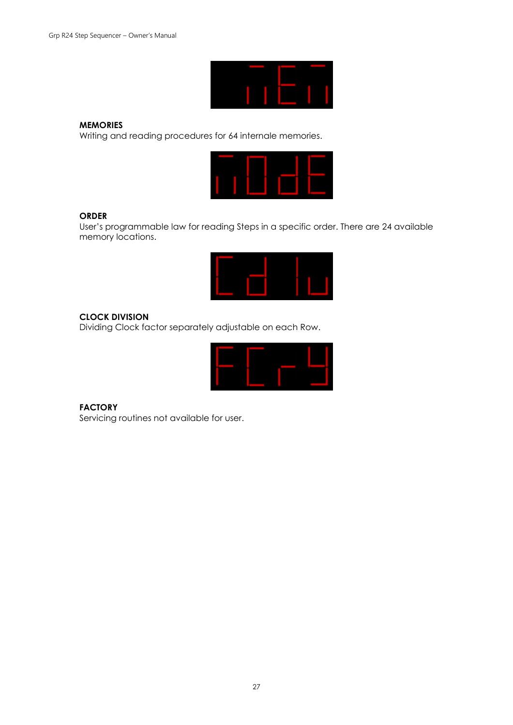

#### **MEMORIES**

Writing and reading procedures for 64 internale memories.



### **ORDER**

User's programmable law for reading Steps in a specific order. There are 24 available memory locations.



### **CLOCK DIVISION**

Dividing Clock factor separately adjustable on each Row.



#### **FACTORY**

Servicing routines not available for user.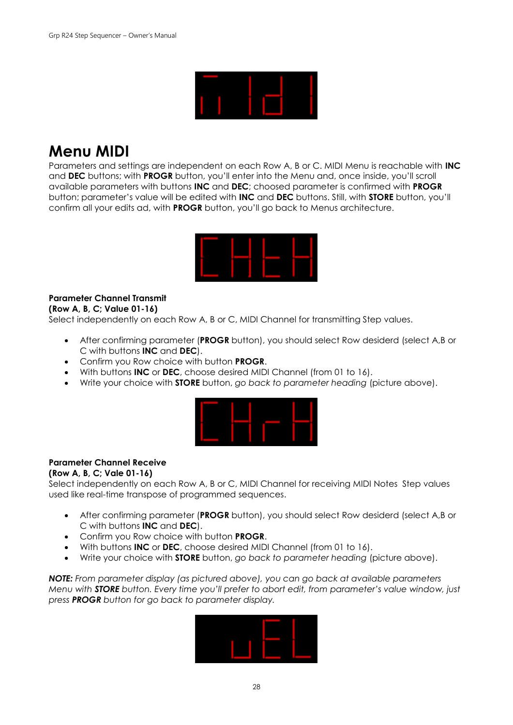

# **Menu MIDI**

Parameters and settings are independent on each Row A, B or C. MIDI Menu is reachable with **INC**  and **DEC** buttons; with **PROGR** button, you'll enter into the Menu and, once inside, you'll scroll available parameters with buttons **INC** and **DEC**; choosed parameter is confirmed with **PROGR** button; parameter's value will be edited with **INC** and **DEC** buttons. Still, with **STORE** button, you'll confirm all your edits ad, with **PROGR** button, you'll go back to Menus architecture.



# **Parameter Channel Transmit**

#### **(Row A, B, C; Value 01-16)**

Select independently on each Row A, B or C, MIDI Channel for transmitting Step values.

- After confirming parameter (**PROGR** button), you should select Row desiderd (select A,B or C with buttons **INC** and **DEC**).
- Confirm you Row choice with button **PROGR**.
- With buttons **INC** or **DEC**, choose desired MIDI Channel (from 01 to 16).
- Write your choice with **STORE** button, *go back to parameter heading* (picture above).



# **Parameter Channel Receive**

#### **(Row A, B, C; Vale 01-16)**

Select independently on each Row A, B or C, MIDI Channel for receiving MIDI Notes Step values used like real-time transpose of programmed sequences.

- After confirming parameter (**PROGR** button), you should select Row desiderd (select A,B or C with buttons **INC** and **DEC**).
- Confirm you Row choice with button **PROGR**.
- With buttons **INC** or **DEC**, choose desired MIDI Channel (from 01 to 16).
- Write your choice with **STORE** button, *go back to parameter heading* (picture above).

*NOTE: From parameter display (as pictured above), you can go back at available parameters Menu with STORE button. Every time you'll prefer to abort edit, from parameter's value window, just press PROGR button for go back to parameter display.* 

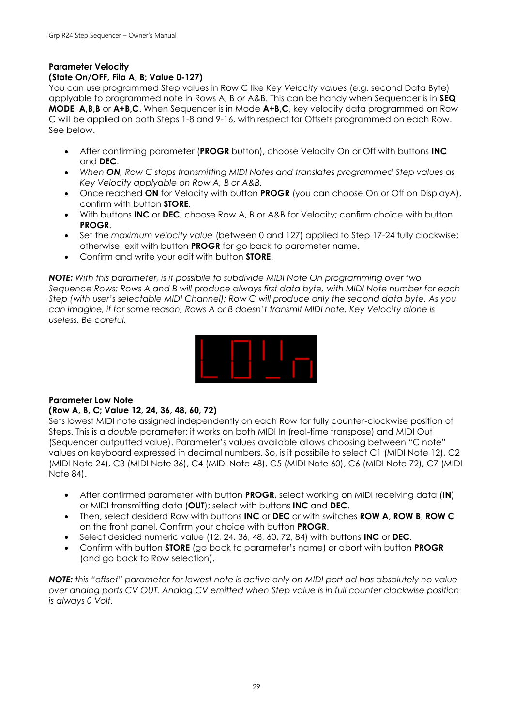# **Parameter Velocity**

### **(State On/OFF, Fila A, B; Value 0-127)**

You can use programmed Step values in Row C like *Key Velocity values* (e.g. second Data Byte) applyable to programmed note in Rows A, B or A&B. This can be handy when Sequencer is in **SEQ MODE A,B,B** or **A+B,C**. When Sequencer is in Mode **A+B,C**, key velocity data programmed on Row C will be applied on both Steps 1-8 and 9-16, with respect for Offsets programmed on each Row. See below.

- After confirming parameter (**PROGR** button), choose Velocity On or Off with buttons **INC** and **DEC**.
- *When ON, Row C stops transmitting MIDI Notes and translates programmed Step values as Key Velocity applyable on Row A, B or A&B.*
- Once reached **ON** for Velocity with button **PROGR** (you can choose On or Off on DisplayA), confirm with button **STORE**.
- With buttons **INC** or **DEC**, choose Row A, B or A&B for Velocity; confirm choice with button **PROGR**.
- Set the *maximum velocity value* (between 0 and 127) applied to Step 17-24 fully clockwise; otherwise, exit with button **PROGR** for go back to parameter name.
- Confirm and write your edit with button **STORE**.

*NOTE: With this parameter, is it possibile to subdivide MIDI Note On programming over two Sequence Rows: Rows A and B will produce always first data byte, with MIDI Note number for each Step (with user's selectable MIDI Channel); Row C will produce only the second data byte. As you can imagine, if for some reason, Rows A or B doesn't transmit MIDI note, Key Velocity alone is useless. Be careful.* 



# **Parameter Low Note**

#### **(Row A, B, C; Value 12, 24, 36, 48, 60, 72)**

Sets lowest MIDI note assigned independently on each Row for fully counter-clockwise position of Steps. This is a *double* parameter: it works on both MIDI In (real-time transpose) and MIDI Out (Sequencer outputted value). Parameter's values available allows choosing between "C note" values on keyboard expressed in decimal numbers. So, is it possibile to select C1 (MIDI Note 12), C2 (MIDI Note 24), C3 (MIDI Note 36), C4 (MIDI Note 48), C5 (MIDI Note 60), C6 (MIDI Note 72), C7 (MIDI Note 84).

- After confirmed parameter with button **PROGR**, select working on MIDI receiving data (**IN**) or MIDI transmitting data (**OUT**); select with buttons **INC** and **DEC**.
- Then, select desiderd Row with buttons **INC** or **DEC** *or* with switches **ROW A**, **ROW B**, **ROW C** on the front panel. Confirm your choice with button **PROGR**.
- Select desided numeric value (12, 24, 36, 48, 60, 72, 84) with buttons **INC** or **DEC**.
- Confirm with button **STORE** (go back to parameter's name) or abort with button **PROGR** (and go back to Row selection).

*NOTE: this "offset" parameter for lowest note is active only on MIDI port ad has absolutely no value over analog ports CV OUT. Analog CV emitted when Step value is in full counter clockwise position is always 0 Volt.*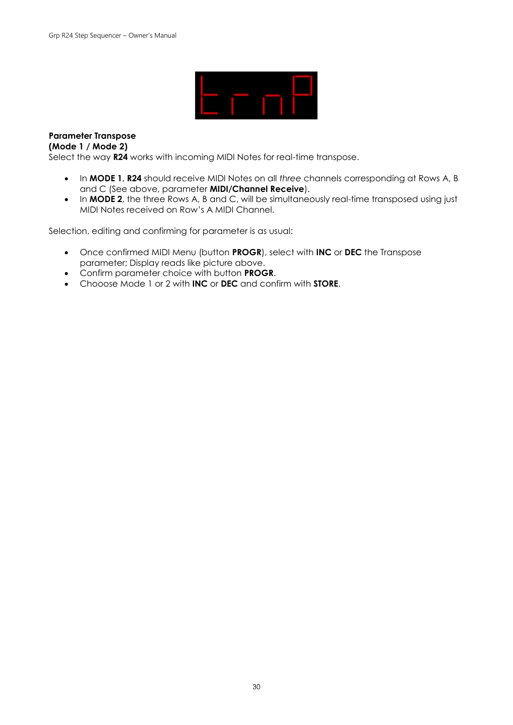

# **Parameter Transpose**

**(Mode 1 / Mode 2)**

Select the way **R24** works with incoming MIDI Notes for real-time transpose.

- In **MODE 1**, **R24** should receive MIDI Notes on all *three* channels corresponding at Rows A, B and C (See above, parameter **MIDI/Channel Receive**).
- In MODE 2, the three Rows A, B and C, will be simultaneously real-time transposed using just MIDI Notes received on Row's A MIDI Channel.

Selection, editing and confirming for parameter is as usual:

- Once confirmed MIDI Menu (button **PROGR**), select with **INC** or **DEC** the Transpose parameter; Display reads like picture above.
- Confirm parameter choice with button **PROGR**.
- Chooose Mode 1 or 2 with **INC** or **DEC** and confirm with **STORE**.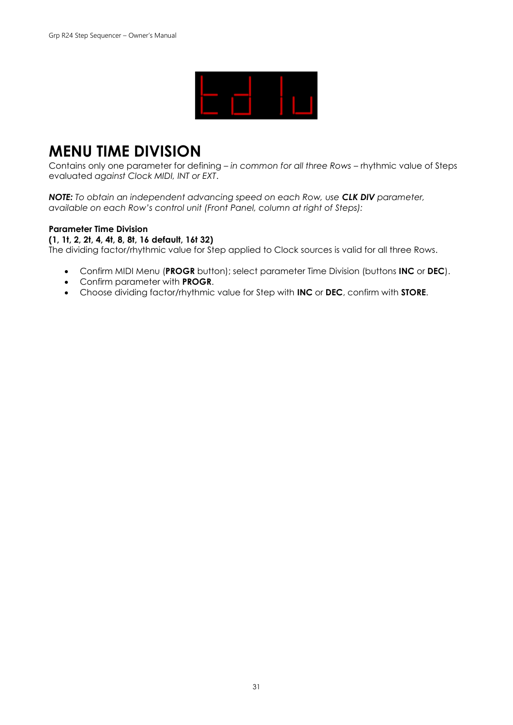

# **MENU TIME DIVISION**

Contains only one parameter for defining – *in common for all three Rows* – rhythmic value of Steps evaluated *against Clock MIDI, INT or EXT*.

*NOTE:* To obtain an independent advancing speed on each Row, use CLK DIV parameter, *available on each Row's control unit (Front Panel, column at right of Steps):* 

#### **Parameter Time Division**

#### **(1, 1t, 2, 2t, 4, 4t, 8, 8t, 16 default, 16t 32)**

The dividing factor/rhythmic value for Step applied to Clock sources is valid for all three Rows.

- Confirm MIDI Menu (**PROGR** button); select parameter Time Division (buttons **INC** or **DEC**).
- Confirm parameter with **PROGR**.
- Choose dividing factor/rhythmic value for Step with **INC** or **DEC**, confirm with **STORE**.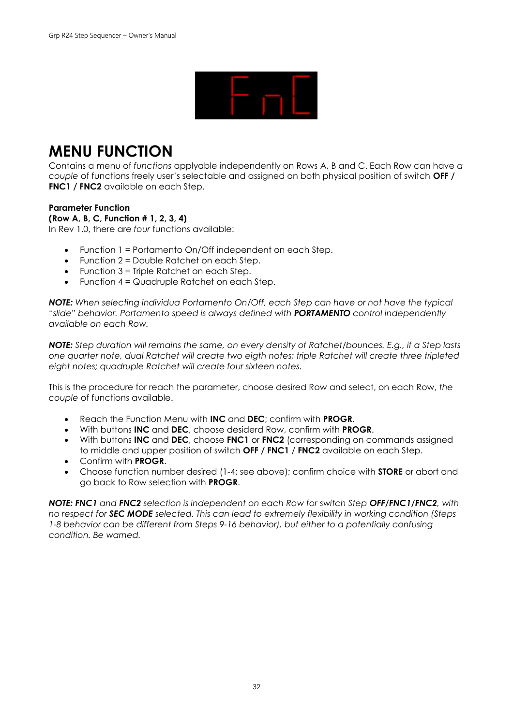

# **MENU FUNCTION**

Contains a menu of *functions* applyable independently on Rows A, B and C. Each Row can have *a couple* of functions freely user's selectable and assigned on both physical position of switch **OFF / FNC1 / FNC2** available on each Step.

### **Parameter Function**

### **(Row A, B, C, Function # 1, 2, 3, 4)**

In Rev 1.0, there are *four* functions available:

- Function 1 = Portamento On/Off independent on each Step.
- Function 2 = Double Ratchet on each Step.
- Function 3 = Triple Ratchet on each Step.
- Function 4 = Quadruple Ratchet on each Step.

*NOTE: When selecting individua Portamento On/Off, each Step can have or not have the typical "slide" behavior. Portamento speed is always defined with PORTAMENTO control independently available on each Row.*

*NOTE: Step duration will remains the same, on every density of Ratchet/bounces. E.g., if a Step lasts one quarter note, dual Ratchet will create two eigth notes; triple Ratchet will create three tripleted eight notes; quadruple Ratchet will create four sixteen notes.* 

This is the procedure for reach the parameter, choose desired Row and select, on each Row, *the couple* of functions available.

- Reach the Function Menu with **INC** and **DEC**; confirm with **PROGR**.
- With buttons **INC** and **DEC**, choose desiderd Row, confirm with **PROGR**.
- With buttons **INC** and **DEC**, choose **FNC1** or **FNC2** (corresponding on commands assigned to middle and upper position of switch **OFF / FNC1** / **FNC2** available on each Step.
- Confirm with **PROGR**.
- Choose function number desired (1-4; see above); confirm choice with **STORE** or abort and go back to Row selection with **PROGR**.

*NOTE: FNC1 and FNC2 selection is independent on each Row for switch Step OFF/FNC1/FNC2, with no respect for SEC MODE selected. This can lead to extremely flexibility in working condition (Steps 1-8 behavior can be different from Steps 9-16 behavior), but either to a potentially confusing condition. Be warned.*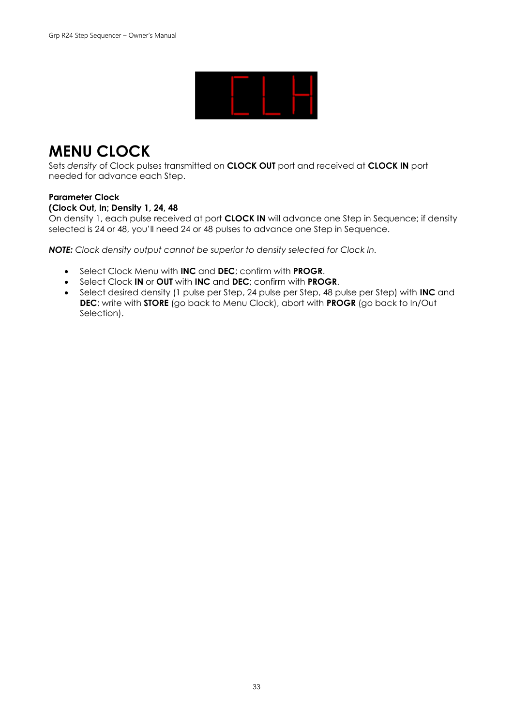

# **MENU CLOCK**

Sets *density* of Clock pulses transmitted on **CLOCK OUT** port and received at **CLOCK IN** port needed for advance each Step.

### **Parameter Clock**

#### **(Clock Out, In; Density 1, 24, 48**

On density 1, each pulse received at port **CLOCK IN** will advance one Step in Sequence; if density selected is 24 or 48, you'll need 24 or 48 pulses to advance one Step in Sequence.

*NOTE: Clock density output cannot be superior to density selected for Clock In.* 

- Select Clock Menu with **INC** and **DEC**; confirm with **PROGR**.
- Select Clock **IN** or **OUT** with **INC** and **DEC**; confirm with **PROGR**.
- Select desired density (1 pulse per Step, 24 pulse per Step, 48 pulse per Step) with **INC** and **DEC**; write with **STORE** (go back to Menu Clock), abort with **PROGR** (go back to In/Out Selection).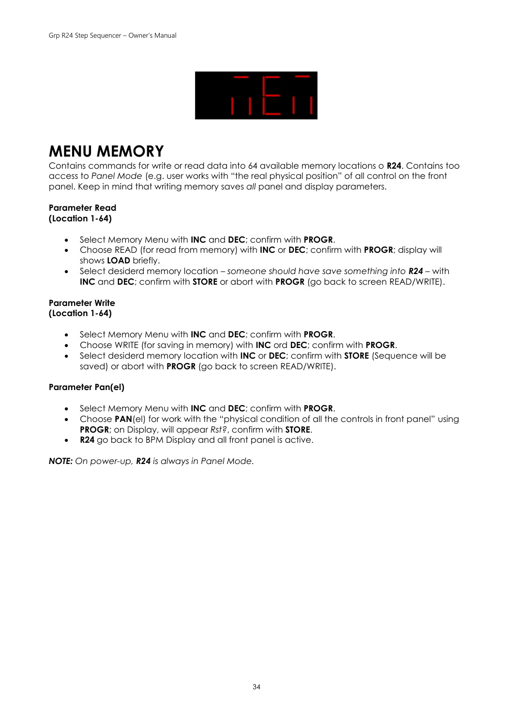

# **MENU MEMORY**

Contains commands for write or read data into 64 available memory locations o **R24**. Contains too access to *Panel Mode* (e.g. user works with "the real physical position" of all control on the front panel. Keep in mind that writing memory saves *all* panel and display parameters.

# **Parameter Read**

**(Location 1-64)**

- Select Memory Menu with **INC** and **DEC**; confirm with **PROGR**.
- Choose READ (for read from memory) with **INC** or **DEC**; confirm with **PROGR**; display will shows **LOAD** briefly.
- Select desiderd memory location *someone should have save something into R24 –* with **INC** and **DEC**; confirm with **STORE** or abort with **PROGR** (go back to screen READ/WRITE).

#### **Parameter Write (Location 1-64)**

- Select Memory Menu with **INC** and **DEC**; confirm with **PROGR**.
- Choose WRITE (for saving in memory) with **INC** ord **DEC**; confirm with **PROGR**.
- Select desiderd memory location with **INC** or **DEC**; confirm with **STORE** (Sequence will be saved) or abort with **PROGR** (go back to screen READ/WRITE).

# **Parameter Pan(el)**

- Select Memory Menu with **INC** and **DEC**; confirm with **PROGR**.
- Choose **PAN**(el) for work with the "physical condition of all the controls in front panel" using **PROGR**; on Display, will appear *Rst?*, confirm with **STORE**.
- **R24** go back to BPM Display and all front panel is active.

*NOTE: On power-up, R24 is always in Panel Mode.*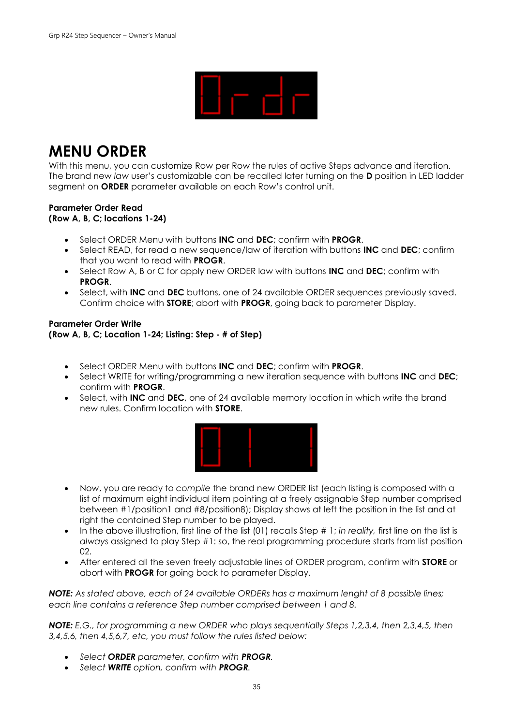

# **MENU ORDER**

With this menu, you can customize Row per Row the rules of active Steps advance and iteration. The brand new *law* user's customizable can be recalled later turning on the **D** position in LED ladder segment on **ORDER** parameter available on each Row's control unit.

### **Parameter Order Read**

**(Row A, B, C; locations 1-24)**

- Select ORDER Menu with buttons **INC** and **DEC**; confirm with **PROGR**.
- Select READ, for read a new sequence/law of iteration with buttons **INC** and **DEC**; confirm that you want to read with **PROGR**.
- Select Row A, B or C for apply new ORDER law with buttons **INC** and **DEC**; confirm with **PROGR**.
- Select, with **INC** and **DEC** buttons, one of 24 available ORDER sequences previously saved. Confirm choice with **STORE**; abort with **PROGR**, going back to parameter Display.

#### **Parameter Order Write (Row A, B, C; Location 1-24; Listing: Step - # of Step)**

- Select ORDER Menu with buttons **INC** and **DEC**; confirm with **PROGR**.
- Select WRITE for writing/programming a new iteration sequence with buttons **INC** and **DEC**; confirm with **PROGR**.
- Select, with **INC** and **DEC**, one of 24 available memory location in which write the brand new rules. Confirm location with **STORE**.



- Now, you are ready to *compile* the brand new ORDER list (each listing is composed with a list of maximum eight individual item pointing at a freely assignable Step number comprised between #1/position1 and #8/position8); Display shows at left the position in the list and at right the contained Step number to be played.
- In the above illustration, first line of the list (01) recalls Step # 1; *in reality,* first line on the list is *always* assigned to play Step #1: so, the real programming procedure starts from list position  $02<sub>2</sub>$
- After entered all the seven freely adjustable lines of ORDER program, confirm with **STORE** or abort with **PROGR** for going back to parameter Display.

*NOTE: As stated above, each of 24 available ORDERs has a maximum lenght of 8 possible lines; each line contains a reference Step number comprised between 1 and 8.*

*NOTE: E.G., for programming a new ORDER who plays sequentially Steps 1,2,3,4, then 2,3,4,5, then 3,4,5,6, then 4,5,6,7, etc, you must follow the rules listed below:*

- *Select ORDER parameter, confirm with PROGR.*
- *Select WRITE option, confirm with PROGR.*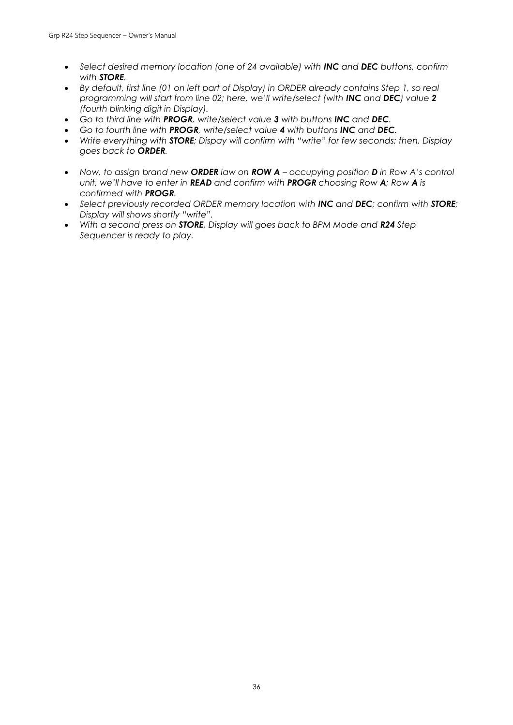- *Select desired memory location (one of 24 available) with INC and DEC buttons, confirm with STORE.*
- *By default, first line (01 on left part of Display) in ORDER already contains Step 1, so real programming will start from line 02; here, we'll write/select (with INC and DEC) value 2 (fourth blinking digit in Display).*
- *Go to third line with PROGR, write/select value 3 with buttons INC and DEC.*
- *Go to fourth line with PROGR, write/select value 4 with buttons INC and DEC.*
- *Write everything with STORE; Dispay will confirm with "write" for few seconds; then, Display goes back to ORDER.*
- *Now, to assign brand new ORDER law on ROW A – occupying position D in Row A's control unit, we'll have to enter in READ and confirm with PROGR choosing Row A; Row A is confirmed with PROGR.*
- *Select previously recorded ORDER memory location with INC and DEC; confirm with STORE; Display will shows shortly "write".*
- *With a second press on STORE, Display will goes back to BPM Mode and R24 Step Sequencer is ready to play.*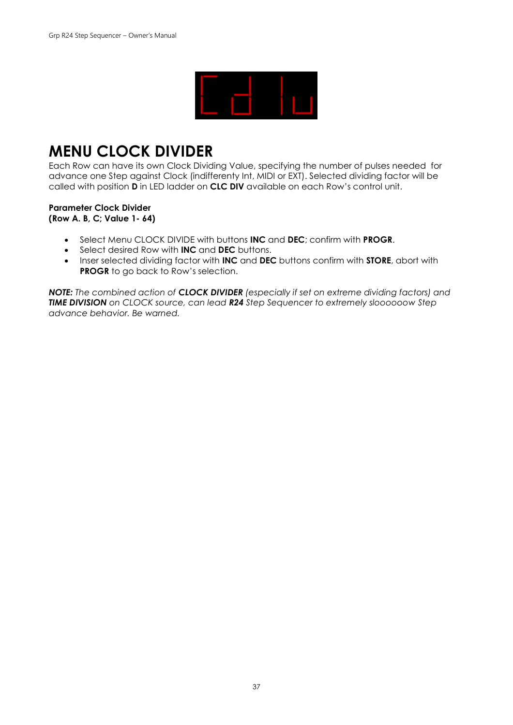

# **MENU CLOCK DIVIDER**

Each Row can have its own Clock Dividing Value, specifying the number of pulses needed for advance one Step against Clock (indifferenty Int, MIDI or EXT). Selected dividing factor will be called with position **D** in LED ladder on **CLC DIV** available on each Row's control unit.

# **Parameter Clock Divider**

**(Row A. B, C; Value 1- 64)**

- Select Menu CLOCK DIVIDE with buttons **INC** and **DEC**; confirm with **PROGR**.
- Select desired Row with **INC** and **DEC** buttons.
- Inser selected dividing factor with **INC** and **DEC** buttons confirm with **STORE**, abort with **PROGR** to go back to Row's selection.

*NOTE: The combined action of CLOCK DIVIDER (especially if set on extreme dividing factors) and TIME DIVISION on CLOCK source, can lead R24 Step Sequencer to extremely sloooooow Step advance behavior. Be warned.*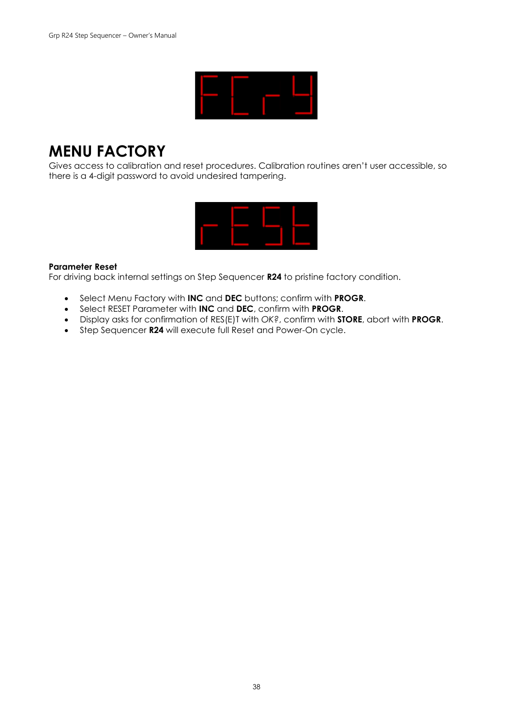

# **MENU FACTORY**

Gives access to calibration and reset procedures. Calibration routines aren't user accessible, so there is a 4-digit password to avoid undesired tampering.

![](_page_37_Picture_4.jpeg)

#### **Parameter Reset**

For driving back internal settings on Step Sequencer **R24** to pristine factory condition.

- Select Menu Factory with **INC** and **DEC** buttons; confirm with **PROGR**.
- Select RESET Parameter with **INC** and **DEC**, confirm with **PROGR**.
- Display asks for confirmation of RES(E)T with *OK?*, confirm with **STORE**, abort with **PROGR**.
- **Step Sequencer R24 will execute full Reset and Power-On cycle.**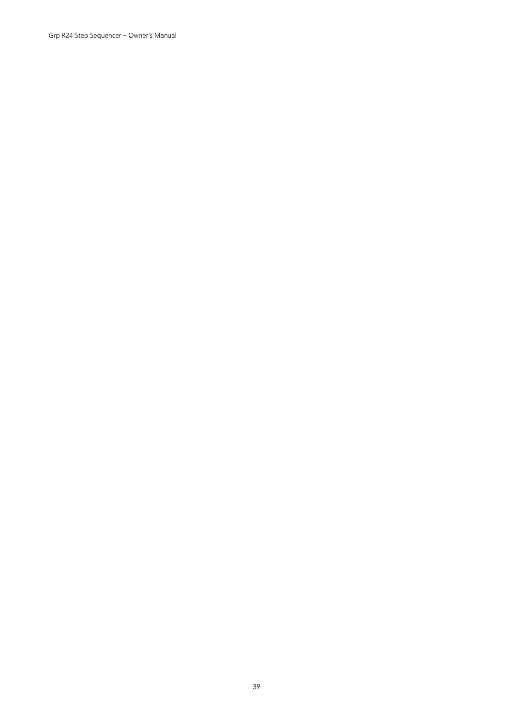Grp R24 Step Sequencer – Owner's Manual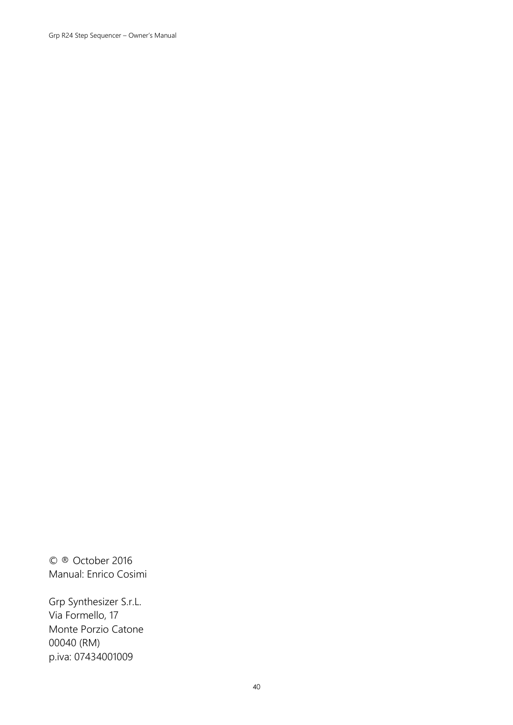Grp R24 Step Sequencer – Owner's Manual

© ® October 2016 Manual: Enrico Cosimi

Grp Synthesizer S.r.L. Via Formello, 17 Monte Porzio Catone 00040 (RM) p.iva: 07434001009